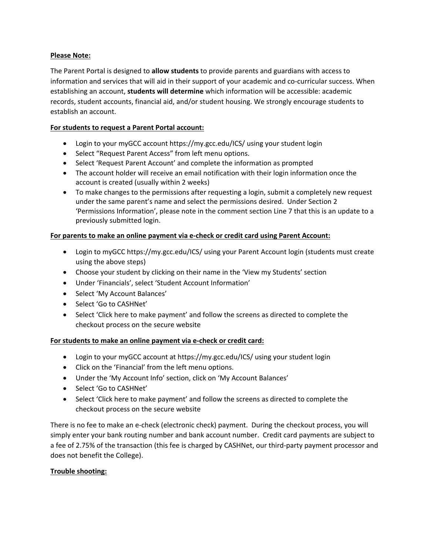### **Please Note:**

The Parent Portal is designed to **allow students** to provide parents and guardians with access to information and services that will aid in their support of your academic and co-curricular success. When establishing an account, **students will determine** which information will be accessible: academic records, student accounts, financial aid, and/or student housing. We strongly encourage students to establish an account.

## **For students to request a Parent Portal account:**

- Login to your myGCC account https://my.gcc.edu/ICS/ using your student login
- Select "Request Parent Access" from left menu options.
- Select 'Request Parent Account' and complete the information as prompted
- The account holder will receive an email notification with their login information once the account is created (usually within 2 weeks)
- To make changes to the permissions after requesting a login, submit a completely new request under the same parent's name and select the permissions desired. Under Section 2 'Permissions Information', please note in the comment section Line 7 that this is an update to a previously submitted login.

# **For parents to make an online payment via e‐check or credit card using Parent Account:**

- Login to myGCC https://my.gcc.edu/ICS/ using your Parent Account login (students must create using the above steps)
- Choose your student by clicking on their name in the 'View my Students' section
- Under 'Financials', select 'Student Account Information'
- Select 'My Account Balances'
- Select 'Go to CASHNet'
- Select 'Click here to make payment' and follow the screens as directed to complete the checkout process on the secure website

### **For students to make an online payment via e‐check or credit card:**

- Login to your myGCC account at https://my.gcc.edu/ICS/ using your student login
- Click on the 'Financial' from the left menu options.
- Under the 'My Account Info' section, click on 'My Account Balances'
- Select 'Go to CASHNet'
- Select 'Click here to make payment' and follow the screens as directed to complete the checkout process on the secure website

There is no fee to make an e-check (electronic check) payment. During the checkout process, you will simply enter your bank routing number and bank account number. Credit card payments are subject to a fee of 2.75% of the transaction (this fee is charged by CASHNet, our third‐party payment processor and does not benefit the College).

### **Trouble shooting:**